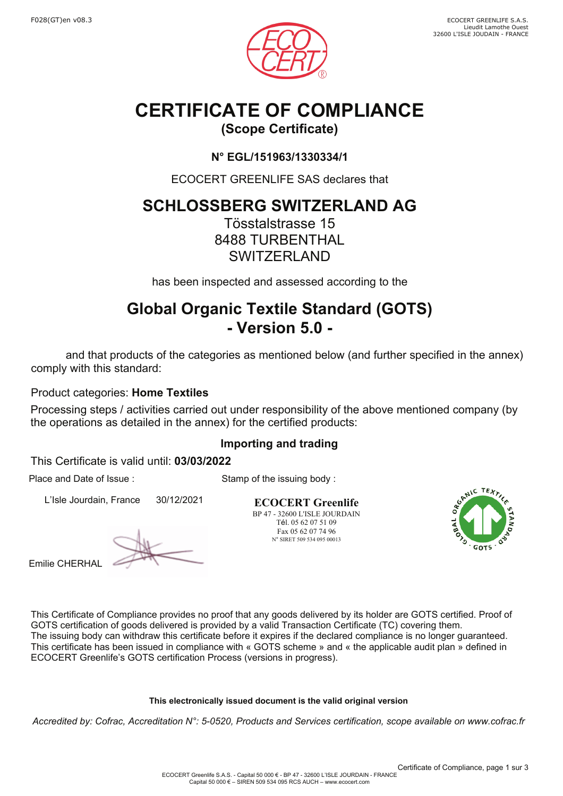

# **CERTIFICATE OF COMPLIANCE**

## **(Scope Certificate)**

### **N° EGL/151963/1330334/1**

ECOCERT GREENLIFE SAS declares that

# **SCHLOSSBERG SWITZERLAND AG**

Tösstalstrasse 15 8488 TURBENTHAL **SWITZERLAND** 

has been inspected and assessed according to the

# **Global Organic Textile Standard (GOTS) - Version 5.0 -**

 and that products of the categories as mentioned below (and further specified in the annex) comply with this standard:

Product categories: **Home Textiles**

Processing steps / activities carried out under responsibility of the above mentioned company (by the operations as detailed in the annex) for the certified products:

### **Importing and trading**

Stamp of the issuing body :

This Certificate is valid until: **03/03/2022**

Place and Date of Issue :

L'Isle Jourdain, France 30/12/2021

Emilie CHERHAL

**ECOCERT Greenlife** BP 47 - 32600 L'ISLE JOURDAIN Tél. 05 62 07 51 09 Fax 05 62 07 74 96 N° SIRET 509 534 095 00013



This Certificate of Compliance provides no proof that any goods delivered by its holder are GOTS certified. Proof of GOTS certification of goods delivered is provided by a valid Transaction Certificate (TC) covering them. The issuing body can withdraw this certificate before it expires if the declared compliance is no longer guaranteed. This certificate has been issued in compliance with « GOTS scheme » and « the applicable audit plan » defined in ECOCERT Greenlife's GOTS certification Process (versions in progress).

### **This electronically issued document is the valid original version**

*Accredited by: Cofrac, Accreditation N°: 5-0520, Products and Services certification, scope available on www.cofrac.fr*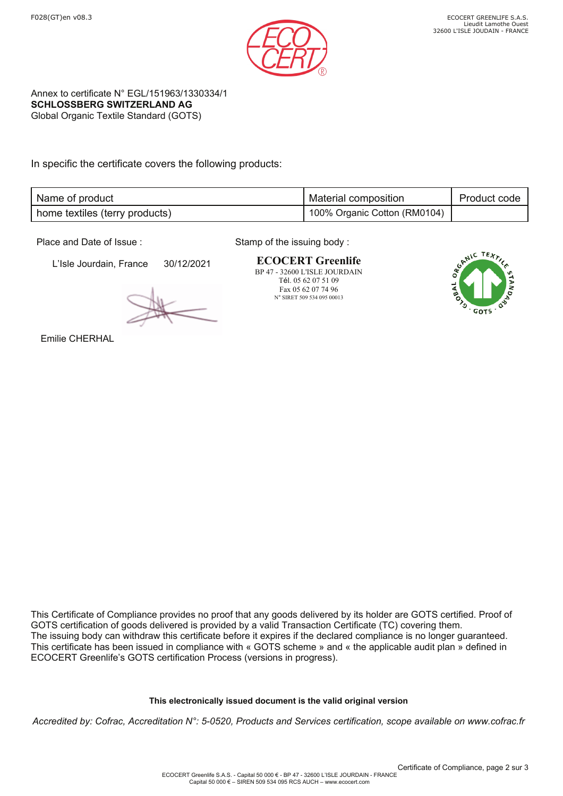

Annex to certificate N° EGL/151963/1330334/1 **SCHLOSSBERG SWITZERLAND AG** Global Organic Textile Standard (GOTS)

In specific the certificate covers the following products:

| Name of product                | <b>Material composition</b>  | Product code |
|--------------------------------|------------------------------|--------------|
| home textiles (terry products) | 100% Organic Cotton (RM0104) |              |

Place and Date of Issue :

L'Isle Jourdain, France 30/12/2021

Stamp of the issuing body :

**ECOCERT Greenlife** BP 47 - 32600 L'ISLE JOURDAIN Tél. 05 62 07 51 09 Fax 05 62 07 74 96 N° SIRET 509 534 095 00013



Emilie CHERHAL

This Certificate of Compliance provides no proof that any goods delivered by its holder are GOTS certified. Proof of GOTS certification of goods delivered is provided by a valid Transaction Certificate (TC) covering them. The issuing body can withdraw this certificate before it expires if the declared compliance is no longer guaranteed. This certificate has been issued in compliance with « GOTS scheme » and « the applicable audit plan » defined in ECOCERT Greenlife's GOTS certification Process (versions in progress).

#### **This electronically issued document is the valid original version**

*Accredited by: Cofrac, Accreditation N°: 5-0520, Products and Services certification, scope available on www.cofrac.fr*